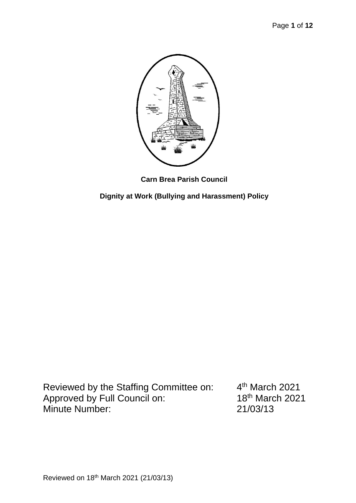

**Carn Brea Parish Council**

**Dignity at Work (Bullying and Harassment) Policy** 

Reviewed by the Staffing Committee on: 4<sup>th</sup> March 2021<br>Approved by Full Council on: 18<sup>th</sup> March 2021 Approved by Full Council on: Minute Number: 21/03/13

 $4<sup>th</sup>$  March 2021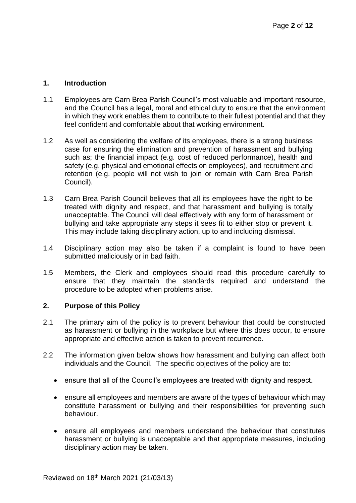### **1. Introduction**

- 1.1 Employees are Carn Brea Parish Council's most valuable and important resource, and the Council has a legal, moral and ethical duty to ensure that the environment in which they work enables them to contribute to their fullest potential and that they feel confident and comfortable about that working environment.
- 1.2 As well as considering the welfare of its employees, there is a strong business case for ensuring the elimination and prevention of harassment and bullying such as; the financial impact (e.g. cost of reduced performance), health and safety (e.g. physical and emotional effects on employees), and recruitment and retention (e.g. people will not wish to join or remain with Carn Brea Parish Council).
- 1.3 Carn Brea Parish Council believes that all its employees have the right to be treated with dignity and respect, and that harassment and bullying is totally unacceptable. The Council will deal effectively with any form of harassment or bullying and take appropriate any steps it sees fit to either stop or prevent it. This may include taking disciplinary action, up to and including dismissal.
- 1.4 Disciplinary action may also be taken if a complaint is found to have been submitted maliciously or in bad faith.
- 1.5 Members, the Clerk and employees should read this procedure carefully to ensure that they maintain the standards required and understand the procedure to be adopted when problems arise.

### **2. Purpose of this Policy**

- 2.1 The primary aim of the policy is to prevent behaviour that could be constructed as harassment or bullying in the workplace but where this does occur, to ensure appropriate and effective action is taken to prevent recurrence.
- 2.2 The information given below shows how harassment and bullying can affect both individuals and the Council. The specific objectives of the policy are to:
	- ensure that all of the Council's employees are treated with dignity and respect.
	- ensure all employees and members are aware of the types of behaviour which may constitute harassment or bullying and their responsibilities for preventing such behaviour.
	- ensure all employees and members understand the behaviour that constitutes harassment or bullying is unacceptable and that appropriate measures, including disciplinary action may be taken.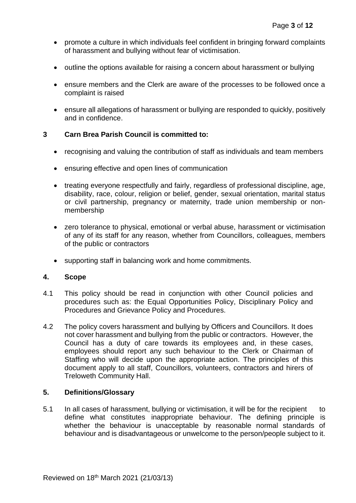- promote a culture in which individuals feel confident in bringing forward complaints of harassment and bullying without fear of victimisation.
- outline the options available for raising a concern about harassment or bullying
- ensure members and the Clerk are aware of the processes to be followed once a complaint is raised
- ensure all allegations of harassment or bullying are responded to quickly, positively and in confidence.

### **3 Carn Brea Parish Council is committed to:**

- recognising and valuing the contribution of staff as individuals and team members
- ensuring effective and open lines of communication
- treating everyone respectfully and fairly, regardless of professional discipline, age, disability, race, colour, religion or belief, gender, sexual orientation, marital status or civil partnership, pregnancy or maternity, trade union membership or nonmembership
- zero tolerance to physical, emotional or verbal abuse, harassment or victimisation of any of its staff for any reason, whether from Councillors, colleagues, members of the public or contractors
- supporting staff in balancing work and home commitments.

#### **4. Scope**

- 4.1 This policy should be read in conjunction with other Council policies and procedures such as: the Equal Opportunities Policy, Disciplinary Policy and Procedures and Grievance Policy and Procedures.
- 4.2 The policy covers harassment and bullying by Officers and Councillors. It does not cover harassment and bullying from the public or contractors. However, the Council has a duty of care towards its employees and, in these cases, employees should report any such behaviour to the Clerk or Chairman of Staffing who will decide upon the appropriate action. The principles of this document apply to all staff, Councillors, volunteers, contractors and hirers of Treloweth Community Hall.

### **5. Definitions/Glossary**

5.1 In all cases of harassment, bullying or victimisation, it will be for the recipient to define what constitutes inappropriate behaviour. The defining principle is whether the behaviour is unacceptable by reasonable normal standards of behaviour and is disadvantageous or unwelcome to the person/people subject to it.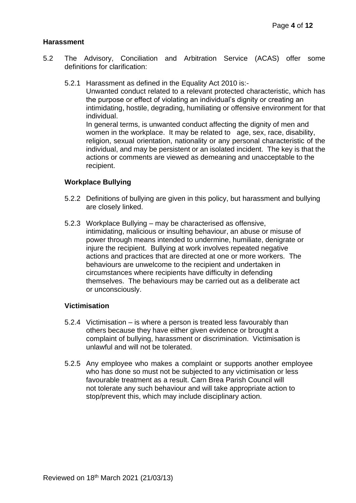#### **Harassment**

- 5.2 The Advisory, Conciliation and Arbitration Service (ACAS) offer some definitions for clarification:
	- 5.2.1 Harassment as defined in the Equality Act 2010 is:-

Unwanted conduct related to a relevant protected characteristic, which has the purpose or effect of violating an individual's dignity or creating an intimidating, hostile, degrading, humiliating or offensive environment for that individual.

In general terms, is unwanted conduct affecting the dignity of men and women in the workplace. It may be related to age, sex, race, disability, religion, sexual orientation, nationality or any personal characteristic of the individual, and may be persistent or an isolated incident. The key is that the actions or comments are viewed as demeaning and unacceptable to the recipient.

#### **Workplace Bullying**

- 5.2.2 Definitions of bullying are given in this policy, but harassment and bullying are closely linked.
- 5.2.3 Workplace Bullying may be characterised as offensive, intimidating, malicious or insulting behaviour, an abuse or misuse of power through means intended to undermine, humiliate, denigrate or injure the recipient. Bullying at work involves repeated negative actions and practices that are directed at one or more workers. The behaviours are unwelcome to the recipient and undertaken in circumstances where recipients have difficulty in defending themselves. The behaviours may be carried out as a deliberate act or unconsciously.

#### **Victimisation**

- 5.2.4 Victimisation is where a person is treated less favourably than others because they have either given evidence or brought a complaint of bullying, harassment or discrimination. Victimisation is unlawful and will not be tolerated.
- 5.2.5 Any employee who makes a complaint or supports another employee who has done so must not be subjected to any victimisation or less favourable treatment as a result. Carn Brea Parish Council will not tolerate any such behaviour and will take appropriate action to stop/prevent this, which may include disciplinary action.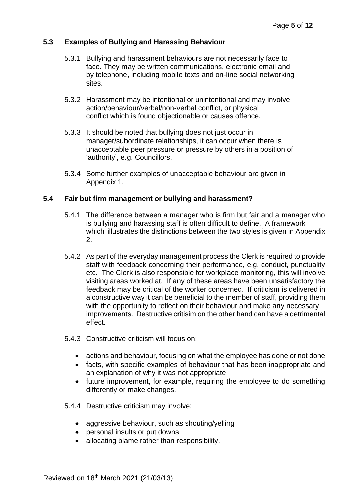### **5.3 Examples of Bullying and Harassing Behaviour**

- 5.3.1 Bullying and harassment behaviours are not necessarily face to face. They may be written communications, electronic email and by telephone, including mobile texts and on-line social networking sites.
- 5.3.2 Harassment may be intentional or unintentional and may involve action/behaviour/verbal/non-verbal conflict, or physical conflict which is found objectionable or causes offence.
- 5.3.3 It should be noted that bullying does not just occur in manager/subordinate relationships, it can occur when there is unacceptable peer pressure or pressure by others in a position of 'authority', e.g. Councillors.
- 5.3.4 Some further examples of unacceptable behaviour are given in Appendix 1.

### **5.4 Fair but firm management or bullying and harassment?**

- 5.4.1 The difference between a manager who is firm but fair and a manager who is bullying and harassing staff is often difficult to define. A framework which illustrates the distinctions between the two styles is given in Appendix 2.
- 5.4.2 As part of the everyday management process the Clerk is required to provide staff with feedback concerning their performance, e.g. conduct, punctuality etc. The Clerk is also responsible for workplace monitoring, this will involve visiting areas worked at. If any of these areas have been unsatisfactory the feedback may be critical of the worker concerned. If criticism is delivered in a constructive way it can be beneficial to the member of staff, providing them with the opportunity to reflect on their behaviour and make any necessary improvements. Destructive critisim on the other hand can have a detrimental effect.
- 5.4.3 Constructive criticism will focus on:
	- actions and behaviour, focusing on what the employee has done or not done
	- facts, with specific examples of behaviour that has been inappropriate and an explanation of why it was not appropriate
	- future improvement, for example, requiring the employee to do something differently or make changes.
- 5.4.4 Destructive criticism may involve;
	- aggressive behaviour, such as shouting/yelling
	- personal insults or put downs
	- allocating blame rather than responsibility.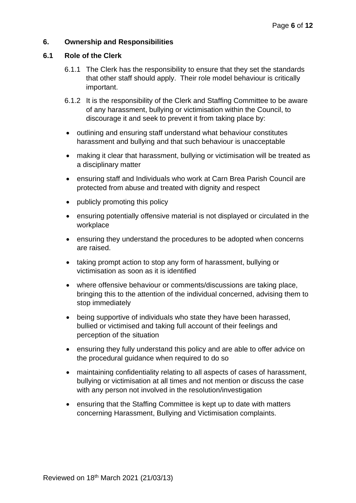### **6. Ownership and Responsibilities**

### **6.1 Role of the Clerk**

- 6.1.1 The Clerk has the responsibility to ensure that they set the standards that other staff should apply. Their role model behaviour is critically important.
- 6.1.2 It is the responsibility of the Clerk and Staffing Committee to be aware of any harassment, bullying or victimisation within the Council, to discourage it and seek to prevent it from taking place by:
- outlining and ensuring staff understand what behaviour constitutes harassment and bullying and that such behaviour is unacceptable
- making it clear that harassment, bullying or victimisation will be treated as a disciplinary matter
- ensuring staff and Individuals who work at Carn Brea Parish Council are protected from abuse and treated with dignity and respect
- publicly promoting this policy
- ensuring potentially offensive material is not displayed or circulated in the workplace
- ensuring they understand the procedures to be adopted when concerns are raised.
- taking prompt action to stop any form of harassment, bullying or victimisation as soon as it is identified
- where offensive behaviour or comments/discussions are taking place, bringing this to the attention of the individual concerned, advising them to stop immediately
- being supportive of individuals who state they have been harassed, bullied or victimised and taking full account of their feelings and perception of the situation
- ensuring they fully understand this policy and are able to offer advice on the procedural guidance when required to do so
- maintaining confidentiality relating to all aspects of cases of harassment, bullying or victimisation at all times and not mention or discuss the case with any person not involved in the resolution/investigation
- ensuring that the Staffing Committee is kept up to date with matters concerning Harassment, Bullying and Victimisation complaints.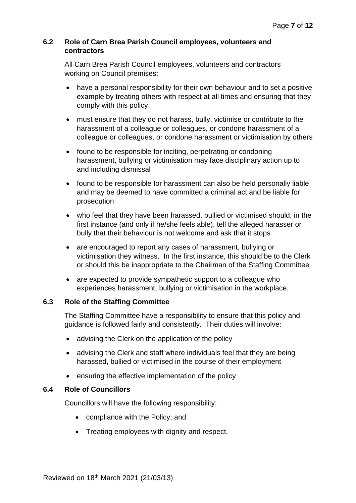### **6.2 Role of Carn Brea Parish Council employees, volunteers and contractors**

All Carn Brea Parish Council employees, volunteers and contractors working on Council premises:

- have a personal responsibility for their own behaviour and to set a positive example by treating others with respect at all times and ensuring that they comply with this policy
- must ensure that they do not harass, bully, victimise or contribute to the harassment of a colleague or colleagues, or condone harassment of a colleague or colleagues, or condone harassment or victimisation by others
- found to be responsible for inciting, perpetrating or condoning harassment, bullying or victimisation may face disciplinary action up to and including dismissal
- found to be responsible for harassment can also be held personally liable and may be deemed to have committed a criminal act and be liable for prosecution
- who feel that they have been harassed, bullied or victimised should, in the first instance (and only if he/she feels able), tell the alleged harasser or bully that their behaviour is not welcome and ask that it stops
- are encouraged to report any cases of harassment, bullying or victimisation they witness. In the first instance, this should be to the Clerk or should this be inappropriate to the Chairman of the Staffing Committee
- are expected to provide sympathetic support to a colleague who experiences harassment, bullying or victimisation in the workplace.

## **6.3 Role of the Staffing Committee**

The Staffing Committee have a responsibility to ensure that this policy and guidance is followed fairly and consistently. Their duties will involve:

- advising the Clerk on the application of the policy
- advising the Clerk and staff where individuals feel that they are being harassed, bullied or victimised in the course of their employment
- ensuring the effective implementation of the policy

## **6.4 Role of Councillors**

Councillors will have the following responsibility:

- compliance with the Policy; and
- Treating employees with dignity and respect.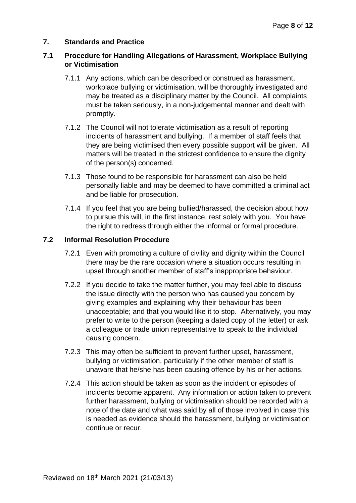### **7. Standards and Practice**

### **7.1 Procedure for Handling Allegations of Harassment, Workplace Bullying or Victimisation**

- 7.1.1 Any actions, which can be described or construed as harassment, workplace bullying or victimisation, will be thoroughly investigated and may be treated as a disciplinary matter by the Council. All complaints must be taken seriously, in a non-judgemental manner and dealt with promptly.
- 7.1.2 The Council will not tolerate victimisation as a result of reporting incidents of harassment and bullying. If a member of staff feels that they are being victimised then every possible support will be given. All matters will be treated in the strictest confidence to ensure the dignity of the person(s) concerned.
- 7.1.3 Those found to be responsible for harassment can also be held personally liable and may be deemed to have committed a criminal act and be liable for prosecution.
- 7.1.4 If you feel that you are being bullied/harassed, the decision about how to pursue this will, in the first instance, rest solely with you. You have the right to redress through either the informal or formal procedure.

### **7.2 Informal Resolution Procedure**

- 7.2.1 Even with promoting a culture of civility and dignity within the Council there may be the rare occasion where a situation occurs resulting in upset through another member of staff's inappropriate behaviour.
- 7.2.2 If you decide to take the matter further, you may feel able to discuss the issue directly with the person who has caused you concern by giving examples and explaining why their behaviour has been unacceptable; and that you would like it to stop. Alternatively, you may prefer to write to the person (keeping a dated copy of the letter) or ask a colleague or trade union representative to speak to the individual causing concern.
- 7.2.3 This may often be sufficient to prevent further upset, harassment, bullying or victimisation, particularly if the other member of staff is unaware that he/she has been causing offence by his or her actions.
- 7.2.4 This action should be taken as soon as the incident or episodes of incidents become apparent. Any information or action taken to prevent further harassment, bullying or victimisation should be recorded with a note of the date and what was said by all of those involved in case this is needed as evidence should the harassment, bullying or victimisation continue or recur.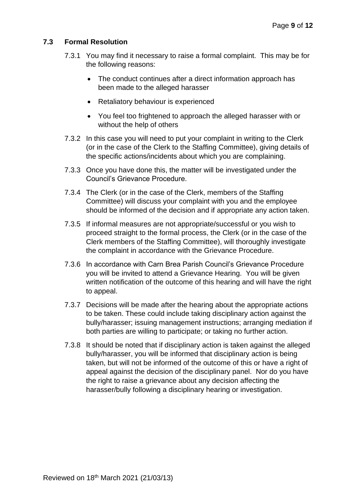## **7.3 Formal Resolution**

- 7.3.1 You may find it necessary to raise a formal complaint. This may be for the following reasons:
	- The conduct continues after a direct information approach has been made to the alleged harasser
	- Retaliatory behaviour is experienced
	- You feel too frightened to approach the alleged harasser with or without the help of others
- 7.3.2 In this case you will need to put your complaint in writing to the Clerk (or in the case of the Clerk to the Staffing Committee), giving details of the specific actions/incidents about which you are complaining.
- 7.3.3 Once you have done this, the matter will be investigated under the Council's Grievance Procedure.
- 7.3.4 The Clerk (or in the case of the Clerk, members of the Staffing Committee) will discuss your complaint with you and the employee should be informed of the decision and if appropriate any action taken.
- 7.3.5 If informal measures are not appropriate/successful or you wish to proceed straight to the formal process, the Clerk (or in the case of the Clerk members of the Staffing Committee), will thoroughly investigate the complaint in accordance with the Grievance Procedure.
- 7.3.6 In accordance with Carn Brea Parish Council's Grievance Procedure you will be invited to attend a Grievance Hearing. You will be given written notification of the outcome of this hearing and will have the right to appeal.
- 7.3.7 Decisions will be made after the hearing about the appropriate actions to be taken. These could include taking disciplinary action against the bully/harasser; issuing management instructions; arranging mediation if both parties are willing to participate; or taking no further action.
- 7.3.8 It should be noted that if disciplinary action is taken against the alleged bully/harasser, you will be informed that disciplinary action is being taken, but will not be informed of the outcome of this or have a right of appeal against the decision of the disciplinary panel. Nor do you have the right to raise a grievance about any decision affecting the harasser/bully following a disciplinary hearing or investigation.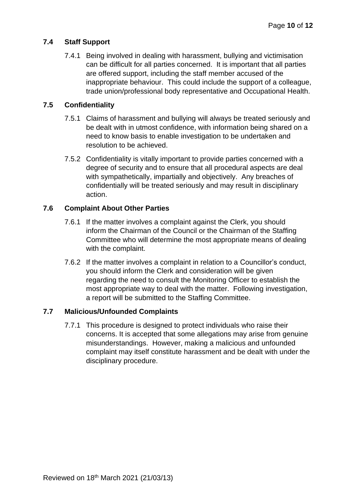## **7.4 Staff Support**

7.4.1 Being involved in dealing with harassment, bullying and victimisation can be difficult for all parties concerned. It is important that all parties are offered support, including the staff member accused of the inappropriate behaviour. This could include the support of a colleague, trade union/professional body representative and Occupational Health.

## **7.5 Confidentiality**

- 7.5.1 Claims of harassment and bullying will always be treated seriously and be dealt with in utmost confidence, with information being shared on a need to know basis to enable investigation to be undertaken and resolution to be achieved.
- 7.5.2 Confidentiality is vitally important to provide parties concerned with a degree of security and to ensure that all procedural aspects are deal with sympathetically, impartially and objectively. Any breaches of confidentially will be treated seriously and may result in disciplinary action.

## **7.6 Complaint About Other Parties**

- 7.6.1 If the matter involves a complaint against the Clerk, you should inform the Chairman of the Council or the Chairman of the Staffing Committee who will determine the most appropriate means of dealing with the complaint.
- 7.6.2 If the matter involves a complaint in relation to a Councillor's conduct, you should inform the Clerk and consideration will be given regarding the need to consult the Monitoring Officer to establish the most appropriate way to deal with the matter. Following investigation, a report will be submitted to the Staffing Committee.

## **7.7 Malicious/Unfounded Complaints**

7.7.1 This procedure is designed to protect individuals who raise their concerns. It is accepted that some allegations may arise from genuine misunderstandings. However, making a malicious and unfounded complaint may itself constitute harassment and be dealt with under the disciplinary procedure.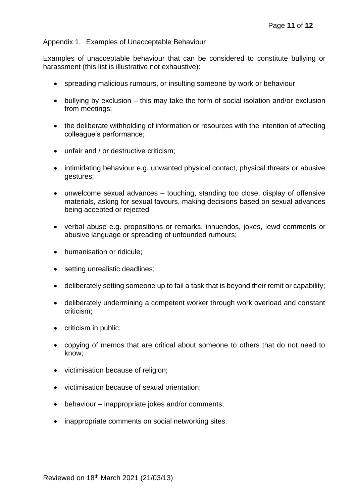### Appendix 1. Examples of Unacceptable Behaviour

Examples of unacceptable behaviour that can be considered to constitute bullying or harassment (this list is illustrative not exhaustive):

- spreading malicious rumours, or insulting someone by work or behaviour
- bullying by exclusion this may take the form of social isolation and/or exclusion from meetings;
- the deliberate withholding of information or resources with the intention of affecting colleague's performance;
- unfair and / or destructive criticism;
- intimidating behaviour e.g. unwanted physical contact, physical threats or abusive gestures;
- unwelcome sexual advances touching, standing too close, display of offensive materials, asking for sexual favours, making decisions based on sexual advances being accepted or rejected
- verbal abuse e.g. propositions or remarks, innuendos, jokes, lewd comments or abusive language or spreading of unfounded rumours;
- humanisation or ridicule;
- setting unrealistic deadlines;
- deliberately setting someone up to fail a task that is beyond their remit or capability;
- deliberately undermining a competent worker through work overload and constant criticism;
- criticism in public;
- copying of memos that are critical about someone to others that do not need to know;
- victimisation because of religion;
- victimisation because of sexual orientation;
- behaviour inappropriate jokes and/or comments;
- inappropriate comments on social networking sites.